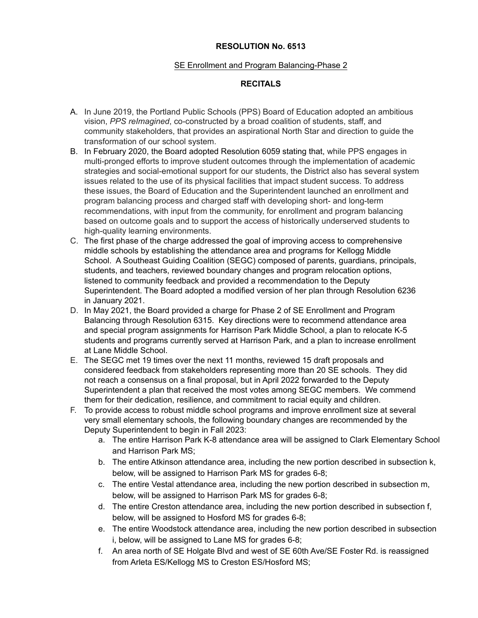## **RESOLUTION No. 6513**

## SE Enrollment and Program Balancing-Phase 2

## **RECITALS**

- A. In June 2019, the Portland Public Schools (PPS) Board of Education adopted an ambitious vision, *PPS reImagined*, co-constructed by a broad coalition of students, staff, and community stakeholders, that provides an aspirational North Star and direction to guide the transformation of our school system.
- B. In February 2020, the Board adopted Resolution 6059 stating that, while PPS engages in multi-pronged efforts to improve student outcomes through the implementation of academic strategies and social-emotional support for our students, the District also has several system issues related to the use of its physical facilities that impact student success. To address these issues, the Board of Education and the Superintendent launched an enrollment and program balancing process and charged staff with developing short- and long-term recommendations, with input from the community, for enrollment and program balancing based on outcome goals and to support the access of historically underserved students to high-quality learning environments.
- C. The first phase of the charge addressed the goal of improving access to comprehensive middle schools by establishing the attendance area and programs for Kellogg Middle School. A Southeast Guiding Coalition (SEGC) composed of parents, guardians, principals, students, and teachers, reviewed boundary changes and program relocation options, listened to community feedback and provided a recommendation to the Deputy Superintendent. The Board adopted a modified version of her plan through Resolution 6236 in January 2021.
- D. In May 2021, the Board provided a charge for Phase 2 of SE Enrollment and Program Balancing through Resolution 6315. Key directions were to recommend attendance area and special program assignments for Harrison Park Middle School, a plan to relocate K-5 students and programs currently served at Harrison Park, and a plan to increase enrollment at Lane Middle School.
- E. The SEGC met 19 times over the next 11 months, reviewed 15 draft proposals and considered feedback from stakeholders representing more than 20 SE schools. They did not reach a consensus on a final proposal, but in April 2022 forwarded to the Deputy Superintendent a plan that received the most votes among SEGC members. We commend them for their dedication, resilience, and commitment to racial equity and children.
- F. To provide access to robust middle school programs and improve enrollment size at several very small elementary schools, the following boundary changes are recommended by the Deputy Superintendent to begin in Fall 2023:
	- a. The entire Harrison Park K-8 attendance area will be assigned to Clark Elementary School and Harrison Park MS;
	- b. The entire Atkinson attendance area, including the new portion described in subsection k, below, will be assigned to Harrison Park MS for grades 6-8;
	- c. The entire Vestal attendance area, including the new portion described in subsection m, below, will be assigned to Harrison Park MS for grades 6-8;
	- d. The entire Creston attendance area, including the new portion described in subsection f, below, will be assigned to Hosford MS for grades 6-8;
	- e. The entire Woodstock attendance area, including the new portion described in subsection i, below, will be assigned to Lane MS for grades 6-8;
	- f. An area north of SE Holgate Blvd and west of SE 60th Ave/SE Foster Rd. is reassigned from Arleta ES/Kellogg MS to Creston ES/Hosford MS;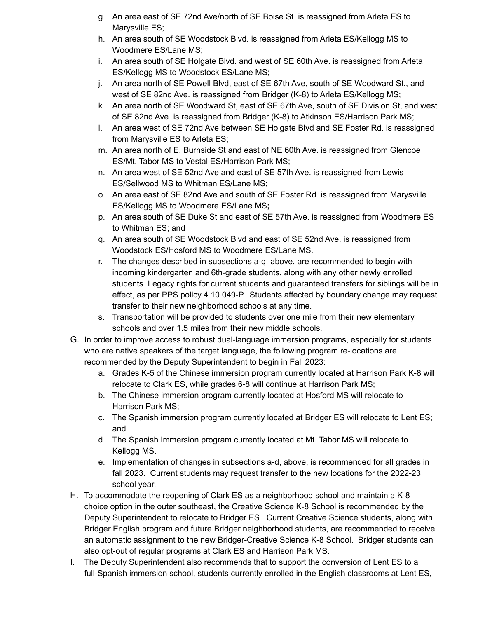- g. An area east of SE 72nd Ave/north of SE Boise St. is reassigned from Arleta ES to Marysville ES;
- h. An area south of SE Woodstock Blvd. is reassigned from Arleta ES/Kellogg MS to Woodmere ES/Lane MS;
- i. An area south of SE Holgate Blvd. and west of SE 60th Ave. is reassigned from Arleta ES/Kellogg MS to Woodstock ES/Lane MS;
- j. An area north of SE Powell Blvd, east of SE 67th Ave, south of SE Woodward St., and west of SE 82nd Ave. is reassigned from Bridger (K-8) to Arleta ES/Kellogg MS;
- k. An area north of SE Woodward St, east of SE 67th Ave, south of SE Division St, and west of SE 82nd Ave. is reassigned from Bridger (K-8) to Atkinson ES/Harrison Park MS;
- l. An area west of SE 72nd Ave between SE Holgate Blvd and SE Foster Rd. is reassigned from Marysville ES to Arleta ES;
- m. An area north of E. Burnside St and east of NE 60th Ave. is reassigned from Glencoe ES/Mt. Tabor MS to Vestal ES/Harrison Park MS;
- n. An area west of SE 52nd Ave and east of SE 57th Ave. is reassigned from Lewis ES/Sellwood MS to Whitman ES/Lane MS;
- o. An area east of SE 82nd Ave and south of SE Foster Rd. is reassigned from Marysville ES/Kellogg MS to Woodmere ES/Lane MS**;**
- p. An area south of SE Duke St and east of SE 57th Ave. is reassigned from Woodmere ES to Whitman ES; and
- q. An area south of SE Woodstock Blvd and east of SE 52nd Ave. is reassigned from Woodstock ES/Hosford MS to Woodmere ES/Lane MS.
- r. The changes described in subsections a-q, above, are recommended to begin with incoming kindergarten and 6th-grade students, along with any other newly enrolled students. Legacy rights for current students and guaranteed transfers for siblings will be in effect, as per PPS policy 4.10.049-P. Students affected by boundary change may request transfer to their new neighborhood schools at any time.
- s. Transportation will be provided to students over one mile from their new elementary schools and over 1.5 miles from their new middle schools.
- G. In order to improve access to robust dual-language immersion programs, especially for students who are native speakers of the target language, the following program re-locations are recommended by the Deputy Superintendent to begin in Fall 2023:
	- a. Grades K-5 of the Chinese immersion program currently located at Harrison Park K-8 will relocate to Clark ES, while grades 6-8 will continue at Harrison Park MS;
	- b. The Chinese immersion program currently located at Hosford MS will relocate to Harrison Park MS;
	- c. The Spanish immersion program currently located at Bridger ES will relocate to Lent ES; and
	- d. The Spanish Immersion program currently located at Mt. Tabor MS will relocate to Kellogg MS.
	- e. Implementation of changes in subsections a-d, above, is recommended for all grades in fall 2023. Current students may request transfer to the new locations for the 2022-23 school year.
- H. To accommodate the reopening of Clark ES as a neighborhood school and maintain a K-8 choice option in the outer southeast, the Creative Science K-8 School is recommended by the Deputy Superintendent to relocate to Bridger ES. Current Creative Science students, along with Bridger English program and future Bridger neighborhood students, are recommended to receive an automatic assignment to the new Bridger-Creative Science K-8 School. Bridger students can also opt-out of regular programs at Clark ES and Harrison Park MS.
- I. The Deputy Superintendent also recommends that to support the conversion of Lent ES to a full-Spanish immersion school, students currently enrolled in the English classrooms at Lent ES,